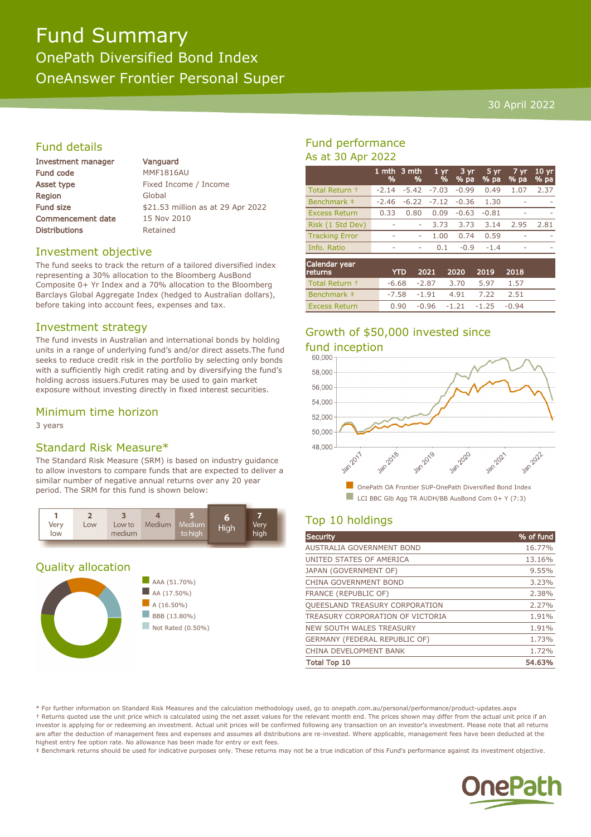# Fund Summary OnePath Diversified Bond Index OneAnswer Frontier Personal Super

#### 30 April 2022

## Fund details

| <b>Investment manager</b> | Vanguard                          |  |  |  |
|---------------------------|-----------------------------------|--|--|--|
| <b>Fund code</b>          | <b>MMF1816AU</b>                  |  |  |  |
| Asset type                | Fixed Income / Income             |  |  |  |
| <b>Region</b>             | Global                            |  |  |  |
| <b>Fund size</b>          | \$21.53 million as at 29 Apr 2022 |  |  |  |
| <b>Commencement date</b>  | 15 Nov 2010                       |  |  |  |
| <b>Distributions</b>      | Retained                          |  |  |  |
|                           |                                   |  |  |  |

#### Investment objective

The fund seeks to track the return of a tailored diversified index representing a 30% allocation to the Bloomberg AusBond Composite 0+ Yr Index and a 70% allocation to the Bloomberg Barclays Global Aggregate Index (hedged to Australian dollars), before taking into account fees, expenses and tax.

#### Investment strategy

The fund invests in Australian and international bonds by holding units in a range of underlying fund's and/or direct assets.The fund seeks to reduce credit risk in the portfolio by selecting only bonds with a sufficiently high credit rating and by diversifying the fund's holding across issuers.Futures may be used to gain market exposure without investing directly in fixed interest securities.

#### Minimum time horizon

3 years

## Standard Risk Measure\*

The Standard Risk Measure (SRM) is based on industry guidance to allow investors to compare funds that are expected to deliver a similar number of negative annual returns over any 20 year period. The SRM for this fund is shown below:



#### Quality allocation





## Fund performance As at 30 Apr 2022

|                          | 1 mth<br>% | 3 mth<br>% | 1 <sub>yr</sub><br>% | 3 yr.<br>% pa | $5 \,\mathrm{yr}$<br>% pa | $7 \, \text{yr}$<br>% pa | 10 <sub>yr</sub><br>% pa |
|--------------------------|------------|------------|----------------------|---------------|---------------------------|--------------------------|--------------------------|
| Total Return +           | $-2.14$    | $-5.42$    | $-7.03$              | $-0.99$       | 0.49                      | 1.07                     | 2.37                     |
| Benchmark ‡              | $-2.46$    | $-6.22$    | $-7.12$              | $-0.36$       | 1.30                      | ÷.                       |                          |
| <b>Excess Return</b>     | 0.33       | 0.80       | 0.09                 | $-0.63$       | $-0.81$                   |                          |                          |
| Risk (1 Std Dev)         |            | ۰          | 3.73                 | 3.73          | 3.14                      | 2.95                     | 2.81                     |
| <b>Tracking Error</b>    | $\sim$     | ۰          | 1.00                 | 0.74          | 0.59                      |                          |                          |
| Info. Ratio              | ۰          | ۰          | 0.1                  | $-0.9$        | $-1.4$                    | ۰                        |                          |
| Calendar year<br>returns |            | YTD        | 2021                 | 2020          | 2019                      | 2018                     |                          |

| <b>Culis</b>         |  | TID ZUZI ZUZU ZUI9 ZUIG        |      |  |
|----------------------|--|--------------------------------|------|--|
| Total Return +       |  | $-6.68$ $-2.87$ $3.70$ $5.97$  | 1.57 |  |
| Benchmark #          |  | -7.58 -1.91 4.91 7.22          | 2.51 |  |
| <b>Excess Return</b> |  | $0.90 -0.96 -1.21 -1.25 -0.94$ |      |  |

# Growth of \$50,000 invested since



# Top 10 holdings

| Security                             | % of fund |
|--------------------------------------|-----------|
| AUSTRALIA GOVERNMENT BOND            | 16.77%    |
| UNITED STATES OF AMERICA             | 13.16%    |
| JAPAN (GOVERNMENT OF)                | 9.55%     |
| CHINA GOVERNMENT BOND                | 3.23%     |
| <b>FRANCE (REPUBLIC OF)</b>          | 2.38%     |
| QUEESLAND TREASURY CORPORATION       | 2.27%     |
| TREASURY CORPORATION OF VICTORIA     | 1.91%     |
| NEW SOUTH WALES TREASURY             | 1.91%     |
| <b>GERMANY (FEDERAL REPUBLIC OF)</b> | 1.73%     |
| CHINA DEVELOPMENT BANK               | 1.72%     |
| <b>Total Top 10</b>                  | 54.63%    |

\* For further information on Standard Risk Measures and the calculation methodology used, go to onepath.com.au/personal/performance/product-updates.aspx † Returns quoted use the unit price which is calculated using the net asset values for the relevant month end. The prices shown may differ from the actual unit price if an investor is applying for or redeeming an investment. Actual unit prices will be confirmed following any transaction on an investor's investment. Please note that all returns are after the deduction of management fees and expenses and assumes all distributions are re-invested. Where applicable, management fees have been deducted at the highest entry fee option rate. No allowance has been made for entry or exit fees.

‡ Benchmark returns should be used for indicative purposes only. These returns may not be a true indication of this Fund's performance against its investment objective.